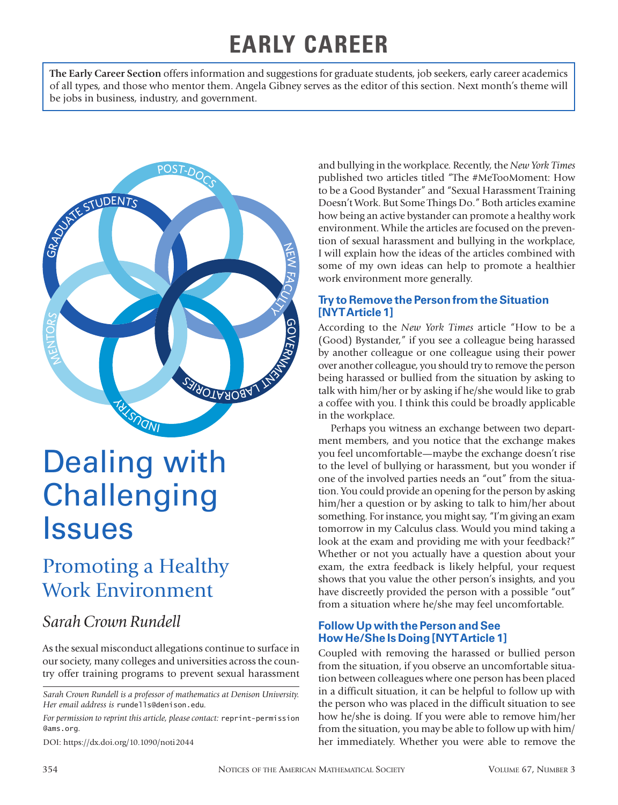## **EARLY CAREER**

**The Early Career Section** offers information and suggestions for graduate students, job seekers, early career academics of all types, and those who mentor them. Angela Gibney serves as the editor of this section. Next month's theme will be jobs in business, industry, and government.



# Dealing with **Challenging** Issues

## Promoting a Healthy Work Environment

### *Sarah Crown Rundell*

As the sexual misconduct allegations continue to surface in our society, many colleges and universities across the country offer training programs to prevent sexual harassment

*Sarah Crown Rundell is a professor of mathematics at Denison University. Her email address is* rundells@denison.edu*.*

*For permission to reprint this article, please contact:* reprint-permission @ams.org.

DOI: https://dx.doi.org/10.1090/noti2044

and bullying in the workplace. Recently, the *New York Times* published two articles titled "The #MeTooMoment: How to be a Good Bystander" and "Sexual Harassment Training Doesn't Work. But Some Things Do." Both articles examine how being an active bystander can promote a healthy work environment. While the articles are focused on the prevention of sexual harassment and bullying in the workplace, I will explain how the ideas of the articles combined with some of my own ideas can help to promote a healthier work environment more generally.

#### **Try to Remove the Person from the Situation [NYT Article 1]**

According to the *New York Times* article "How to be a (Good) Bystander," if you see a colleague being harassed by another colleague or one colleague using their power over another colleague, you should try to remove the person being harassed or bullied from the situation by asking to talk with him/her or by asking if he/she would like to grab a coffee with you. I think this could be broadly applicable in the workplace.

Perhaps you witness an exchange between two department members, and you notice that the exchange makes you feel uncomfortable—maybe the exchange doesn't rise to the level of bullying or harassment, but you wonder if one of the involved parties needs an "out" from the situation. You could provide an opening for the person by asking him/her a question or by asking to talk to him/her about something. For instance, you might say, "I'm giving an exam tomorrow in my Calculus class. Would you mind taking a look at the exam and providing me with your feedback?" Whether or not you actually have a question about your exam, the extra feedback is likely helpful, your request shows that you value the other person's insights, and you have discreetly provided the person with a possible "out" from a situation where he/she may feel uncomfortable.

#### **Follow Up with the Person and See How He/She Is Doing [NYT Article 1]**

Coupled with removing the harassed or bullied person from the situation, if you observe an uncomfortable situation between colleagues where one person has been placed in a difficult situation, it can be helpful to follow up with the person who was placed in the difficult situation to see how he/she is doing. If you were able to remove him/her from the situation, you may be able to follow up with him/ her immediately. Whether you were able to remove the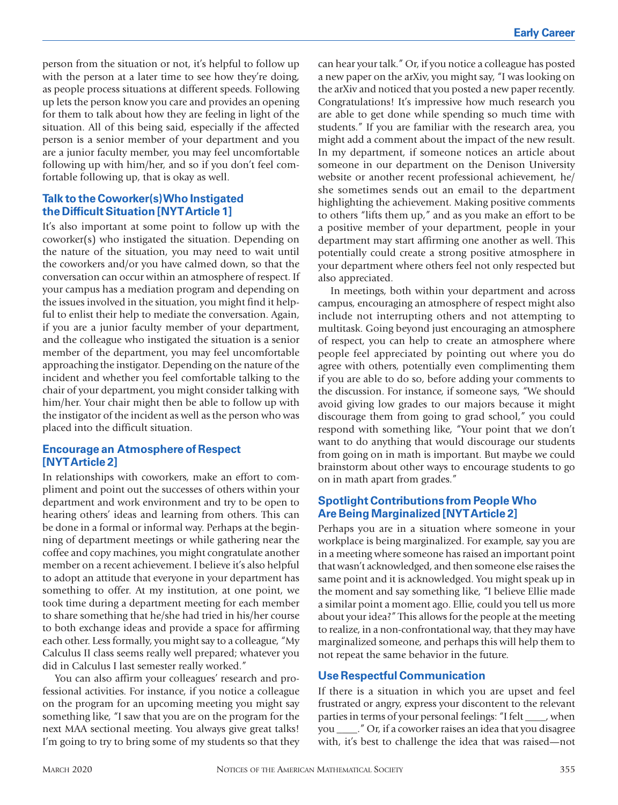person from the situation or not, it's helpful to follow up with the person at a later time to see how they're doing, as people process situations at different speeds. Following up lets the person know you care and provides an opening for them to talk about how they are feeling in light of the situation. All of this being said, especially if the affected person is a senior member of your department and you are a junior faculty member, you may feel uncomfortable following up with him/her, and so if you don't feel comfortable following up, that is okay as well.

#### **Talk to the Coworker(s) Who Instigated the Difficult Situation [NYT Article 1]**

It's also important at some point to follow up with the coworker(s) who instigated the situation. Depending on the nature of the situation, you may need to wait until the coworkers and/or you have calmed down, so that the conversation can occur within an atmosphere of respect. If your campus has a mediation program and depending on the issues involved in the situation, you might find it helpful to enlist their help to mediate the conversation. Again, if you are a junior faculty member of your department, and the colleague who instigated the situation is a senior member of the department, you may feel uncomfortable approaching the instigator. Depending on the nature of the incident and whether you feel comfortable talking to the chair of your department, you might consider talking with him/her. Your chair might then be able to follow up with the instigator of the incident as well as the person who was placed into the difficult situation.

#### **Encourage an Atmosphere of Respect [NYT Article 2]**

In relationships with coworkers, make an effort to compliment and point out the successes of others within your department and work environment and try to be open to hearing others' ideas and learning from others. This can be done in a formal or informal way. Perhaps at the beginning of department meetings or while gathering near the coffee and copy machines, you might congratulate another member on a recent achievement. I believe it's also helpful to adopt an attitude that everyone in your department has something to offer. At my institution, at one point, we took time during a department meeting for each member to share something that he/she had tried in his/her course to both exchange ideas and provide a space for affirming each other. Less formally, you might say to a colleague, "My Calculus II class seems really well prepared; whatever you did in Calculus I last semester really worked."

You can also affirm your colleagues' research and professional activities. For instance, if you notice a colleague on the program for an upcoming meeting you might say something like, "I saw that you are on the program for the next MAA sectional meeting. You always give great talks! I'm going to try to bring some of my students so that they

can hear your talk." Or, if you notice a colleague has posted a new paper on the arXiv, you might say, "I was looking on the arXiv and noticed that you posted a new paper recently. Congratulations! It's impressive how much research you are able to get done while spending so much time with students." If you are familiar with the research area, you might add a comment about the impact of the new result. In my department, if someone notices an article about someone in our department on the Denison University website or another recent professional achievement, he/ she sometimes sends out an email to the department highlighting the achievement. Making positive comments to others "lifts them up," and as you make an effort to be a positive member of your department, people in your department may start affirming one another as well. This potentially could create a strong positive atmosphere in your department where others feel not only respected but also appreciated.

In meetings, both within your department and across campus, encouraging an atmosphere of respect might also include not interrupting others and not attempting to multitask. Going beyond just encouraging an atmosphere of respect, you can help to create an atmosphere where people feel appreciated by pointing out where you do agree with others, potentially even complimenting them if you are able to do so, before adding your comments to the discussion. For instance, if someone says, "We should avoid giving low grades to our majors because it might discourage them from going to grad school," you could respond with something like, "Your point that we don't want to do anything that would discourage our students from going on in math is important. But maybe we could brainstorm about other ways to encourage students to go on in math apart from grades."

#### **Spotlight Contributions from People Who Are Being Marginalized [NYT Article 2]**

Perhaps you are in a situation where someone in your workplace is being marginalized. For example, say you are in a meeting where someone has raised an important point that wasn't acknowledged, and then someone else raises the same point and it is acknowledged. You might speak up in the moment and say something like, "I believe Ellie made a similar point a moment ago. Ellie, could you tell us more about your idea?" This allows for the people at the meeting to realize, in a non-confrontational way, that they may have marginalized someone, and perhaps this will help them to not repeat the same behavior in the future.

#### **Use Respectful Communication**

If there is a situation in which you are upset and feel frustrated or angry, express your discontent to the relevant parties in terms of your personal feelings: "I felt \_\_\_\_, when you \_\_\_\_." Or, if a coworker raises an idea that you disagree with, it's best to challenge the idea that was raised—not